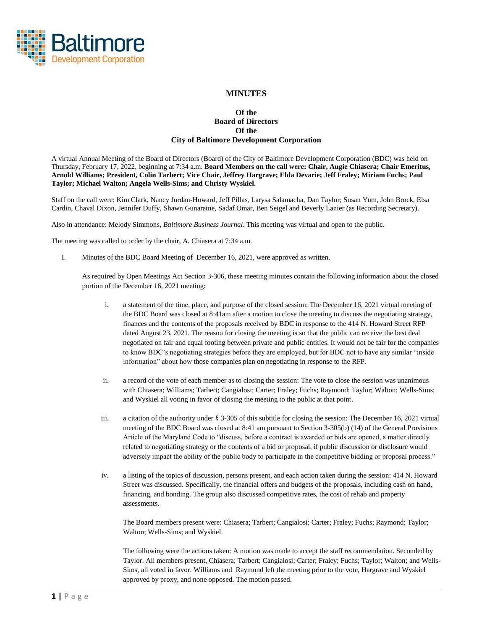

## **MINUTES**

## **Of the Board of Directors Of the City of Baltimore Development Corporation**

A virtual Annual Meeting of the Board of Directors (Board) of the City of Baltimore Development Corporation (BDC) was held on Thursday, February 17, 2022, beginning at 7:34 a.m. **Board Members on the call were: Chair, Augie Chiasera; Chair Emeritus, Arnold Williams; President, Colin Tarbert; Vice Chair, Jeffrey Hargrave; Elda Devarie; Jeff Fraley; Miriam Fuchs; Paul Taylor; Michael Walton; Angela Wells-Sims; and Christy Wyskiel.**

Staff on the call were: Kim Clark, Nancy Jordan-Howard, Jeff Pillas, Larysa Salamacha, Dan Taylor; Susan Yum, John Brock, Elsa Cardin, Chaval Dixon, Jennifer Duffy, Shawn Gunaratne, Sadaf Omar, Ben Seigel and Beverly Lanier (as Recording Secretary).

Also in attendance: Melody Simmons, *Baltimore Business Journal*. This meeting was virtual and open to the public.

The meeting was called to order by the chair, A. Chiasera at 7:34 a.m.

I. Minutes of the BDC Board Meeting of December 16, 2021, were approved as written.

As required by Open Meetings Act Section 3-306, these meeting minutes contain the following information about the closed portion of the December 16, 2021 meeting:

- i. a statement of the time, place, and purpose of the closed session: The December 16, 2021 virtual meeting of the BDC Board was closed at 8:41am after a motion to close the meeting to discuss the negotiating strategy, finances and the contents of the proposals received by BDC in response to the 414 N. Howard Street RFP dated August 23, 2021. The reason for closing the meeting is so that the public can receive the best deal negotiated on fair and equal footing between private and public entities. It would not be fair for the companies to know BDC's negotiating strategies before they are employed, but for BDC not to have any similar "inside information" about how those companies plan on negotiating in response to the RFP.
- ii. a record of the vote of each member as to closing the session: The vote to close the session was unanimous with Chiasera; Williams; Tarbert; Cangialosi; Carter; Fraley; Fuchs; Raymond; Taylor; Walton; Wells-Sims; and Wyskiel all voting in favor of closing the meeting to the public at that point.
- iii. a citation of the authority under § 3-305 of this subtitle for closing the session: The December 16, 2021 virtual meeting of the BDC Board was closed at 8:41 am pursuant to Section 3-305(b) (14) of the General Provisions Article of the Maryland Code to "discuss, before a contract is awarded or bids are opened, a matter directly related to negotiating strategy or the contents of a bid or proposal, if public discussion or disclosure would adversely impact the ability of the public body to participate in the competitive bidding or proposal process."
- iv. a listing of the topics of discussion, persons present, and each action taken during the session: 414 N. Howard Street was discussed. Specifically, the financial offers and budgets of the proposals, including cash on hand, financing, and bonding. The group also discussed competitive rates, the cost of rehab and property assessments.

The Board members present were: Chiasera; Tarbert; Cangialosi; Carter; Fraley; Fuchs; Raymond; Taylor; Walton; Wells-Sims; and Wyskiel.

The following were the actions taken: A motion was made to accept the staff recommendation. Seconded by Taylor. All members present, Chiasera; Tarbert; Cangialosi; Carter; Fraley; Fuchs; Taylor; Walton; and Wells-Sims, all voted in favor. Williams and Raymond left the meeting prior to the vote, Hargrave and Wyskiel approved by proxy, and none opposed. The motion passed.